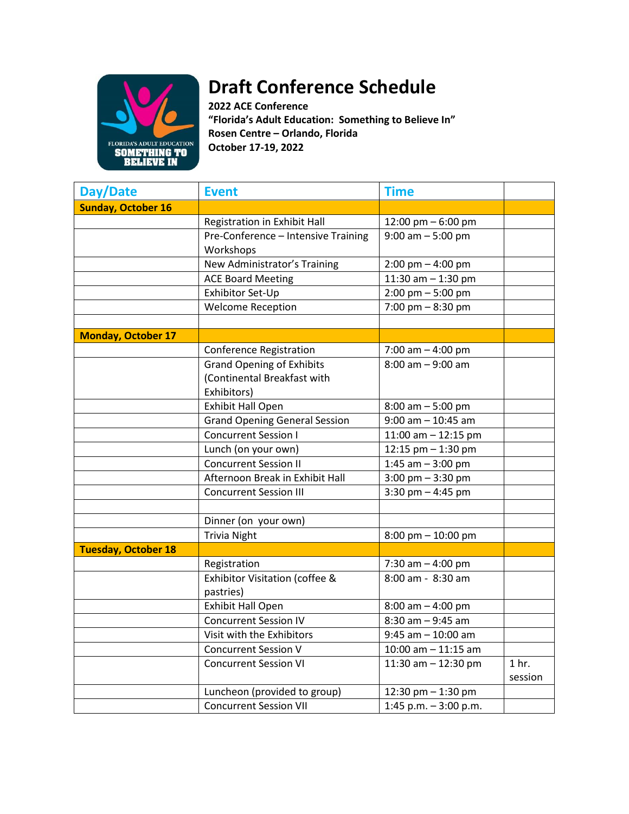

## **Draft Conference Schedule**

**2022 ACE Conference "Florida's Adult Education: Something to Believe In" Rosen Centre – Orlando, Florida October 17-19, 2022**

| <b>Day/Date</b>            | <b>Event</b>                         | <b>Time</b>                         |                  |
|----------------------------|--------------------------------------|-------------------------------------|------------------|
| <b>Sunday, October 16</b>  |                                      |                                     |                  |
|                            | Registration in Exhibit Hall         | 12:00 pm - 6:00 pm                  |                  |
|                            | Pre-Conference - Intensive Training  | $9:00$ am $-5:00$ pm                |                  |
|                            | Workshops                            |                                     |                  |
|                            | New Administrator's Training         | $2:00$ pm $-4:00$ pm                |                  |
|                            | <b>ACE Board Meeting</b>             | 11:30 am $-$ 1:30 pm                |                  |
|                            | Exhibitor Set-Up                     | $2:00 \text{ pm} - 5:00 \text{ pm}$ |                  |
|                            | <b>Welcome Reception</b>             | 7:00 pm $-8:30$ pm                  |                  |
|                            |                                      |                                     |                  |
| <b>Monday, October 17</b>  |                                      |                                     |                  |
|                            | <b>Conference Registration</b>       | 7:00 am $-$ 4:00 pm                 |                  |
|                            | <b>Grand Opening of Exhibits</b>     | $8:00$ am $-9:00$ am                |                  |
|                            | (Continental Breakfast with          |                                     |                  |
|                            | Exhibitors)                          |                                     |                  |
|                            | <b>Exhibit Hall Open</b>             | $8:00$ am $-5:00$ pm                |                  |
|                            | <b>Grand Opening General Session</b> | $9:00$ am $- 10:45$ am              |                  |
|                            | <b>Concurrent Session I</b>          | 11:00 am $-$ 12:15 pm               |                  |
|                            | Lunch (on your own)                  | 12:15 pm - 1:30 pm                  |                  |
|                            | <b>Concurrent Session II</b>         | 1:45 am $-$ 3:00 pm                 |                  |
|                            | Afternoon Break in Exhibit Hall      | $3:00 \text{ pm} - 3:30 \text{ pm}$ |                  |
|                            | <b>Concurrent Session III</b>        | 3:30 pm $-$ 4:45 pm                 |                  |
|                            |                                      |                                     |                  |
|                            | Dinner (on your own)                 |                                     |                  |
|                            | <b>Trivia Night</b>                  | 8:00 pm - 10:00 pm                  |                  |
| <b>Tuesday, October 18</b> |                                      |                                     |                  |
|                            | Registration                         | 7:30 am - 4:00 pm                   |                  |
|                            | Exhibitor Visitation (coffee &       | 8:00 am - 8:30 am                   |                  |
|                            | pastries)                            |                                     |                  |
|                            | <b>Exhibit Hall Open</b>             | $8:00$ am $-$ 4:00 pm               |                  |
|                            | <b>Concurrent Session IV</b>         | $8:30$ am $-9:45$ am                |                  |
|                            | Visit with the Exhibitors            | $9:45$ am $-10:00$ am               |                  |
|                            | <b>Concurrent Session V</b>          | $10:00$ am $- 11:15$ am             |                  |
|                            | <b>Concurrent Session VI</b>         | 11:30 am $-$ 12:30 pm               | 1 <sub>hr.</sub> |
|                            |                                      |                                     | session          |
|                            | Luncheon (provided to group)         | 12:30 pm - 1:30 pm                  |                  |
|                            | <b>Concurrent Session VII</b>        | 1:45 p.m. - 3:00 p.m.               |                  |